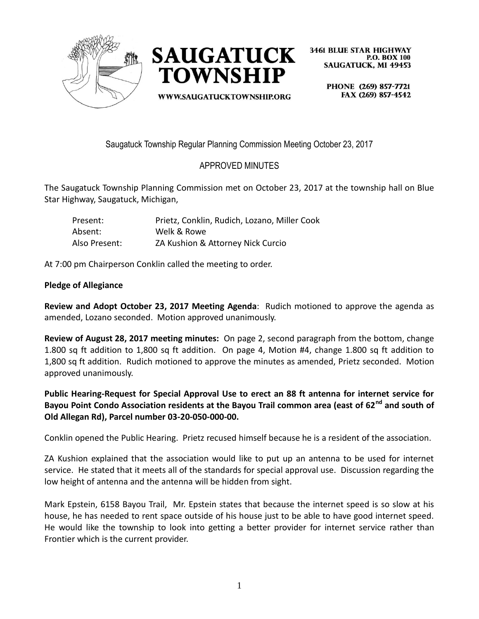



WWW.SAUGATUCKTOWNSHIP.ORG

**3461 BLUE STAR HIGHWAY P.O. BOX 100 SAUGATUCK, MI 49453** 

> PHONE (269) 857-7721 FAX (269) 857-4542

Saugatuck Township Regular Planning Commission Meeting October 23, 2017

# APPROVED MINUTES

The Saugatuck Township Planning Commission met on October 23, 2017 at the township hall on Blue Star Highway, Saugatuck, Michigan,

| Present:      | Prietz, Conklin, Rudich, Lozano, Miller Cook |
|---------------|----------------------------------------------|
| Absent:       | Welk & Rowe                                  |
| Also Present: | ZA Kushion & Attorney Nick Curcio            |

At 7:00 pm Chairperson Conklin called the meeting to order.

### **Pledge of Allegiance**

**Review and Adopt October 23, 2017 Meeting Agenda**: Rudich motioned to approve the agenda as amended, Lozano seconded. Motion approved unanimously.

**Review of August 28, 2017 meeting minutes:** On page 2, second paragraph from the bottom, change 1.800 sq ft addition to 1,800 sq ft addition. On page 4, Motion #4, change 1.800 sq ft addition to 1,800 sq ft addition. Rudich motioned to approve the minutes as amended, Prietz seconded. Motion approved unanimously.

**Public Hearing-Request for Special Approval Use to erect an 88 ft antenna for internet service for Bayou Point Condo Association residents at the Bayou Trail common area (east of 62nd and south of Old Allegan Rd), Parcel number 03-20-050-000-00.**

Conklin opened the Public Hearing. Prietz recused himself because he is a resident of the association.

ZA Kushion explained that the association would like to put up an antenna to be used for internet service. He stated that it meets all of the standards for special approval use. Discussion regarding the low height of antenna and the antenna will be hidden from sight.

Mark Epstein, 6158 Bayou Trail, Mr. Epstein states that because the internet speed is so slow at his house, he has needed to rent space outside of his house just to be able to have good internet speed. He would like the township to look into getting a better provider for internet service rather than Frontier which is the current provider.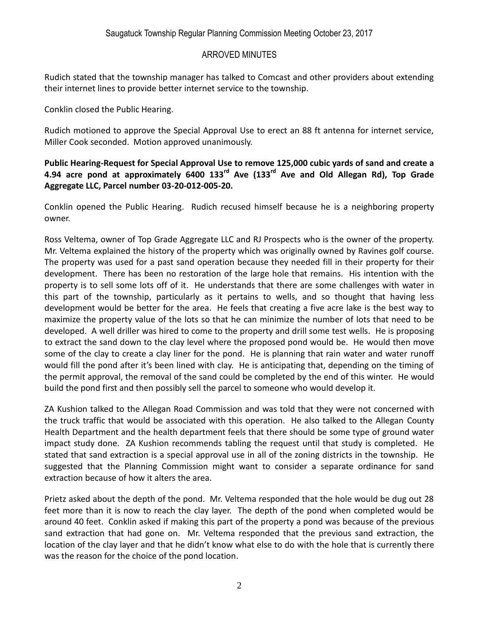Rudich stated that the township manager has talked to Comcast and other providers about extending their internet lines to provide better internet service to the township.

Conklin closed the Public Hearing.

Rudich motioned to approve the Special Approval Use to erect an 88 ft antenna for internet service, Miller Cook seconded. Motion approved unanimously.

### **Public Hearing-Request for Special Approval Use to remove 125,000 cubic yards of sand and create a 4.94 acre pond at approximately 6400 133rd Ave (133rd Ave and Old Allegan Rd), Top Grade Aggregate LLC, Parcel number 03-20-012-005-20.**

Conklin opened the Public Hearing. Rudich recused himself because he is a neighboring property owner.

Ross Veltema, owner of Top Grade Aggregate LLC and RJ Prospects who is the owner of the property. Mr. Veltema explained the history of the property which was originally owned by Ravines golf course. The property was used for a past sand operation because they needed fill in their property for their development. There has been no restoration of the large hole that remains. His intention with the property is to sell some lots off of it. He understands that there are some challenges with water in this part of the township, particularly as it pertains to wells, and so thought that having less development would be better for the area. He feels that creating a five acre lake is the best way to maximize the property value of the lots so that he can minimize the number of lots that need to be developed. A well driller was hired to come to the property and drill some test wells. He is proposing to extract the sand down to the clay level where the proposed pond would be. He would then move some of the clay to create a clay liner for the pond. He is planning that rain water and water runoff would fill the pond after it's been lined with clay. He is anticipating that, depending on the timing of the permit approval, the removal of the sand could be completed by the end of this winter. He would build the pond first and then possibly sell the parcel to someone who would develop it.

ZA Kushion talked to the Allegan Road Commission and was told that they were not concerned with the truck traffic that would be associated with this operation. He also talked to the Allegan County Health Department and the health department feels that there should be some type of ground water impact study done. ZA Kushion recommends tabling the request until that study is completed. He stated that sand extraction is a special approval use in all of the zoning districts in the township. He suggested that the Planning Commission might want to consider a separate ordinance for sand extraction because of how it alters the area.

Prietz asked about the depth of the pond. Mr. Veltema responded that the hole would be dug out 28 feet more than it is now to reach the clay layer. The depth of the pond when completed would be around 40 feet. Conklin asked if making this part of the property a pond was because of the previous sand extraction that had gone on. Mr. Veltema responded that the previous sand extraction, the location of the clay layer and that he didn't know what else to do with the hole that is currently there was the reason for the choice of the pond location.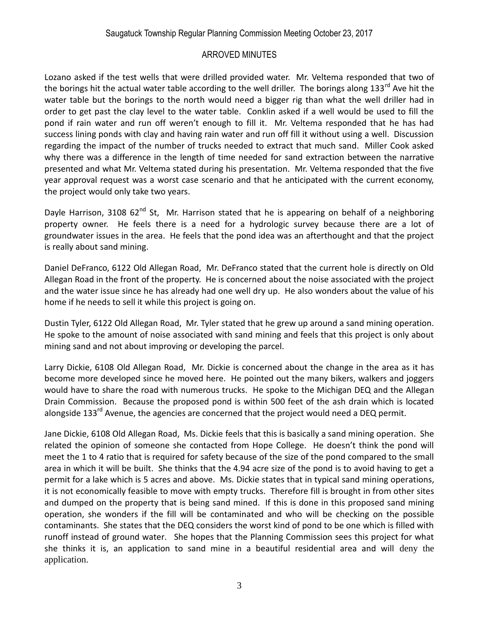Lozano asked if the test wells that were drilled provided water. Mr. Veltema responded that two of the borings hit the actual water table according to the well driller. The borings along 133<sup>rd</sup> Ave hit the water table but the borings to the north would need a bigger rig than what the well driller had in order to get past the clay level to the water table. Conklin asked if a well would be used to fill the pond if rain water and run off weren't enough to fill it. Mr. Veltema responded that he has had success lining ponds with clay and having rain water and run off fill it without using a well. Discussion regarding the impact of the number of trucks needed to extract that much sand. Miller Cook asked why there was a difference in the length of time needed for sand extraction between the narrative presented and what Mr. Veltema stated during his presentation. Mr. Veltema responded that the five year approval request was a worst case scenario and that he anticipated with the current economy, the project would only take two years.

Dayle Harrison, 3108  $62^{nd}$  St, Mr. Harrison stated that he is appearing on behalf of a neighboring property owner. He feels there is a need for a hydrologic survey because there are a lot of groundwater issues in the area. He feels that the pond idea was an afterthought and that the project is really about sand mining.

Daniel DeFranco, 6122 Old Allegan Road, Mr. DeFranco stated that the current hole is directly on Old Allegan Road in the front of the property. He is concerned about the noise associated with the project and the water issue since he has already had one well dry up. He also wonders about the value of his home if he needs to sell it while this project is going on.

Dustin Tyler, 6122 Old Allegan Road, Mr. Tyler stated that he grew up around a sand mining operation. He spoke to the amount of noise associated with sand mining and feels that this project is only about mining sand and not about improving or developing the parcel.

Larry Dickie, 6108 Old Allegan Road, Mr. Dickie is concerned about the change in the area as it has become more developed since he moved here. He pointed out the many bikers, walkers and joggers would have to share the road with numerous trucks. He spoke to the Michigan DEQ and the Allegan Drain Commission. Because the proposed pond is within 500 feet of the ash drain which is located alongside 133<sup>rd</sup> Avenue, the agencies are concerned that the project would need a DEQ permit.

Jane Dickie, 6108 Old Allegan Road, Ms. Dickie feels that this is basically a sand mining operation. She related the opinion of someone she contacted from Hope College. He doesn't think the pond will meet the 1 to 4 ratio that is required for safety because of the size of the pond compared to the small area in which it will be built. She thinks that the 4.94 acre size of the pond is to avoid having to get a permit for a lake which is 5 acres and above. Ms. Dickie states that in typical sand mining operations, it is not economically feasible to move with empty trucks. Therefore fill is brought in from other sites and dumped on the property that is being sand mined. If this is done in this proposed sand mining operation, she wonders if the fill will be contaminated and who will be checking on the possible contaminants. She states that the DEQ considers the worst kind of pond to be one which is filled with runoff instead of ground water. She hopes that the Planning Commission sees this project for what she thinks it is, an application to sand mine in a beautiful residential area and will deny the application.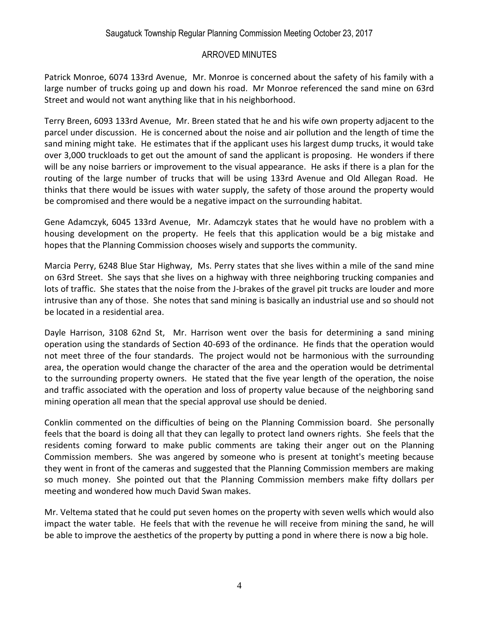Patrick Monroe, 6074 133rd Avenue, Mr. Monroe is concerned about the safety of his family with a large number of trucks going up and down his road. Mr Monroe referenced the sand mine on 63rd Street and would not want anything like that in his neighborhood.

Terry Breen, 6093 133rd Avenue, Mr. Breen stated that he and his wife own property adjacent to the parcel under discussion. He is concerned about the noise and air pollution and the length of time the sand mining might take. He estimates that if the applicant uses his largest dump trucks, it would take over 3,000 truckloads to get out the amount of sand the applicant is proposing. He wonders if there will be any noise barriers or improvement to the visual appearance. He asks if there is a plan for the routing of the large number of trucks that will be using 133rd Avenue and Old Allegan Road. He thinks that there would be issues with water supply, the safety of those around the property would be compromised and there would be a negative impact on the surrounding habitat.

Gene Adamczyk, 6045 133rd Avenue, Mr. Adamczyk states that he would have no problem with a housing development on the property. He feels that this application would be a big mistake and hopes that the Planning Commission chooses wisely and supports the community.

Marcia Perry, 6248 Blue Star Highway, Ms. Perry states that she lives within a mile of the sand mine on 63rd Street. She says that she lives on a highway with three neighboring trucking companies and lots of traffic. She states that the noise from the J-brakes of the gravel pit trucks are louder and more intrusive than any of those. She notes that sand mining is basically an industrial use and so should not be located in a residential area.

Dayle Harrison, 3108 62nd St, Mr. Harrison went over the basis for determining a sand mining operation using the standards of Section 40-693 of the ordinance. He finds that the operation would not meet three of the four standards. The project would not be harmonious with the surrounding area, the operation would change the character of the area and the operation would be detrimental to the surrounding property owners. He stated that the five year length of the operation, the noise and traffic associated with the operation and loss of property value because of the neighboring sand mining operation all mean that the special approval use should be denied.

Conklin commented on the difficulties of being on the Planning Commission board. She personally feels that the board is doing all that they can legally to protect land owners rights. She feels that the residents coming forward to make public comments are taking their anger out on the Planning Commission members. She was angered by someone who is present at tonight's meeting because they went in front of the cameras and suggested that the Planning Commission members are making so much money. She pointed out that the Planning Commission members make fifty dollars per meeting and wondered how much David Swan makes.

Mr. Veltema stated that he could put seven homes on the property with seven wells which would also impact the water table. He feels that with the revenue he will receive from mining the sand, he will be able to improve the aesthetics of the property by putting a pond in where there is now a big hole.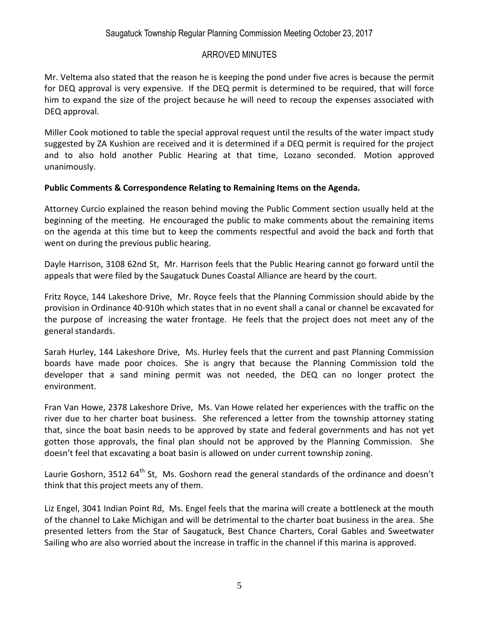Mr. Veltema also stated that the reason he is keeping the pond under five acres is because the permit for DEQ approval is very expensive. If the DEQ permit is determined to be required, that will force him to expand the size of the project because he will need to recoup the expenses associated with DEQ approval.

Miller Cook motioned to table the special approval request until the results of the water impact study suggested by ZA Kushion are received and it is determined if a DEQ permit is required for the project and to also hold another Public Hearing at that time, Lozano seconded. Motion approved unanimously.

### **Public Comments & Correspondence Relating to Remaining Items on the Agenda.**

Attorney Curcio explained the reason behind moving the Public Comment section usually held at the beginning of the meeting. He encouraged the public to make comments about the remaining items on the agenda at this time but to keep the comments respectful and avoid the back and forth that went on during the previous public hearing.

Dayle Harrison, 3108 62nd St, Mr. Harrison feels that the Public Hearing cannot go forward until the appeals that were filed by the Saugatuck Dunes Coastal Alliance are heard by the court.

Fritz Royce, 144 Lakeshore Drive, Mr. Royce feels that the Planning Commission should abide by the provision in Ordinance 40-910h which states that in no event shall a canal or channel be excavated for the purpose of increasing the water frontage. He feels that the project does not meet any of the general standards.

Sarah Hurley, 144 Lakeshore Drive, Ms. Hurley feels that the current and past Planning Commission boards have made poor choices. She is angry that because the Planning Commission told the developer that a sand mining permit was not needed, the DEQ can no longer protect the environment.

Fran Van Howe, 2378 Lakeshore Drive, Ms. Van Howe related her experiences with the traffic on the river due to her charter boat business. She referenced a letter from the township attorney stating that, since the boat basin needs to be approved by state and federal governments and has not yet gotten those approvals, the final plan should not be approved by the Planning Commission. She doesn't feel that excavating a boat basin is allowed on under current township zoning.

Laurie Goshorn, 3512 64<sup>th</sup> St, Ms. Goshorn read the general standards of the ordinance and doesn't think that this project meets any of them.

Liz Engel, 3041 Indian Point Rd, Ms. Engel feels that the marina will create a bottleneck at the mouth of the channel to Lake Michigan and will be detrimental to the charter boat business in the area. She presented letters from the Star of Saugatuck, Best Chance Charters, Coral Gables and Sweetwater Sailing who are also worried about the increase in traffic in the channel if this marina is approved.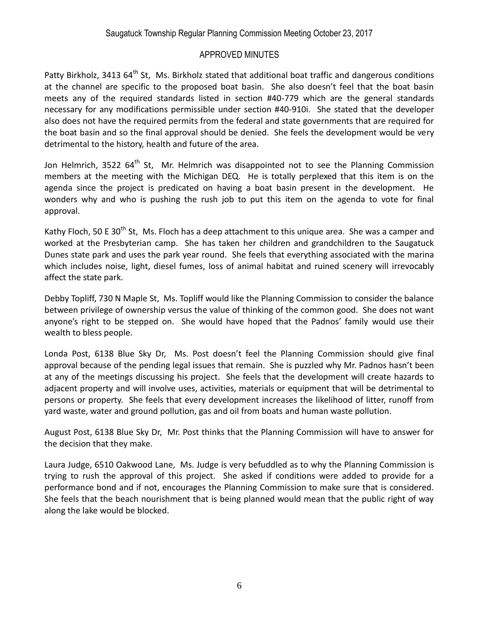Patty Birkholz, 3413 64<sup>th</sup> St, Ms. Birkholz stated that additional boat traffic and dangerous conditions at the channel are specific to the proposed boat basin. She also doesn't feel that the boat basin meets any of the required standards listed in section #40-779 which are the general standards necessary for any modifications permissible under section #40-910i. She stated that the developer also does not have the required permits from the federal and state governments that are required for the boat basin and so the final approval should be denied. She feels the development would be very detrimental to the history, health and future of the area.

Jon Helmrich, 3522 64<sup>th</sup> St, Mr. Helmrich was disappointed not to see the Planning Commission members at the meeting with the Michigan DEQ. He is totally perplexed that this item is on the agenda since the project is predicated on having a boat basin present in the development. He wonders why and who is pushing the rush job to put this item on the agenda to vote for final approval.

Kathy Floch, 50 E 30<sup>th</sup> St, Ms. Floch has a deep attachment to this unique area. She was a camper and worked at the Presbyterian camp. She has taken her children and grandchildren to the Saugatuck Dunes state park and uses the park year round. She feels that everything associated with the marina which includes noise, light, diesel fumes, loss of animal habitat and ruined scenery will irrevocably affect the state park.

Debby Topliff, 730 N Maple St, Ms. Topliff would like the Planning Commission to consider the balance between privilege of ownership versus the value of thinking of the common good. She does not want anyone's right to be stepped on. She would have hoped that the Padnos' family would use their wealth to bless people.

Londa Post, 6138 Blue Sky Dr, Ms. Post doesn't feel the Planning Commission should give final approval because of the pending legal issues that remain. She is puzzled why Mr. Padnos hasn't been at any of the meetings discussing his project. She feels that the development will create hazards to adjacent property and will involve uses, activities, materials or equipment that will be detrimental to persons or property. She feels that every development increases the likelihood of litter, runoff from yard waste, water and ground pollution, gas and oil from boats and human waste pollution.

August Post, 6138 Blue Sky Dr, Mr. Post thinks that the Planning Commission will have to answer for the decision that they make.

Laura Judge, 6510 Oakwood Lane, Ms. Judge is very befuddled as to why the Planning Commission is trying to rush the approval of this project. She asked if conditions were added to provide for a performance bond and if not, encourages the Planning Commission to make sure that is considered. She feels that the beach nourishment that is being planned would mean that the public right of way along the lake would be blocked.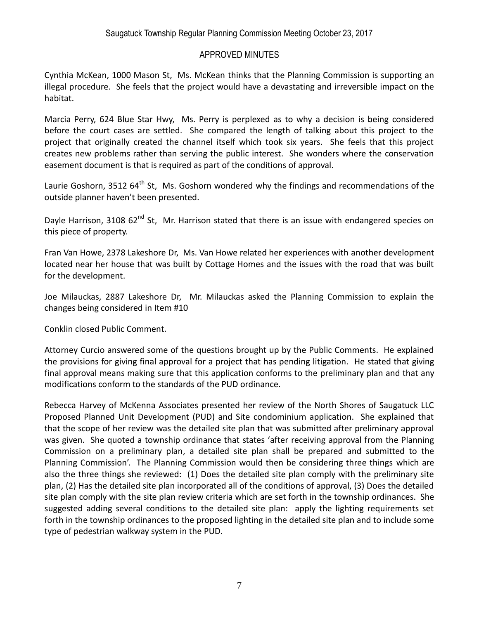Cynthia McKean, 1000 Mason St, Ms. McKean thinks that the Planning Commission is supporting an illegal procedure. She feels that the project would have a devastating and irreversible impact on the habitat.

Marcia Perry, 624 Blue Star Hwy, Ms. Perry is perplexed as to why a decision is being considered before the court cases are settled. She compared the length of talking about this project to the project that originally created the channel itself which took six years. She feels that this project creates new problems rather than serving the public interest. She wonders where the conservation easement document is that is required as part of the conditions of approval.

Laurie Goshorn, 3512  $64^{\text{th}}$  St, Ms. Goshorn wondered why the findings and recommendations of the outside planner haven't been presented.

Dayle Harrison, 3108  $62^{nd}$  St, Mr. Harrison stated that there is an issue with endangered species on this piece of property.

Fran Van Howe, 2378 Lakeshore Dr, Ms. Van Howe related her experiences with another development located near her house that was built by Cottage Homes and the issues with the road that was built for the development.

Joe Milauckas, 2887 Lakeshore Dr, Mr. Milauckas asked the Planning Commission to explain the changes being considered in Item #10

Conklin closed Public Comment.

Attorney Curcio answered some of the questions brought up by the Public Comments. He explained the provisions for giving final approval for a project that has pending litigation. He stated that giving final approval means making sure that this application conforms to the preliminary plan and that any modifications conform to the standards of the PUD ordinance.

Rebecca Harvey of McKenna Associates presented her review of the North Shores of Saugatuck LLC Proposed Planned Unit Development (PUD) and Site condominium application. She explained that that the scope of her review was the detailed site plan that was submitted after preliminary approval was given. She quoted a township ordinance that states 'after receiving approval from the Planning Commission on a preliminary plan, a detailed site plan shall be prepared and submitted to the Planning Commission'. The Planning Commission would then be considering three things which are also the three things she reviewed: (1) Does the detailed site plan comply with the preliminary site plan, (2) Has the detailed site plan incorporated all of the conditions of approval, (3) Does the detailed site plan comply with the site plan review criteria which are set forth in the township ordinances. She suggested adding several conditions to the detailed site plan: apply the lighting requirements set forth in the township ordinances to the proposed lighting in the detailed site plan and to include some type of pedestrian walkway system in the PUD.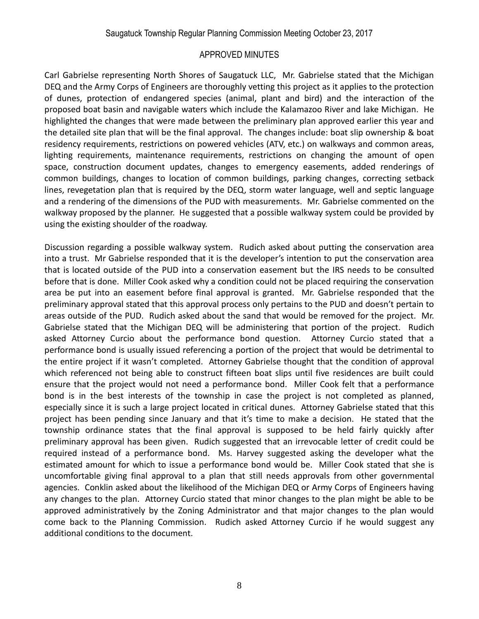Carl Gabrielse representing North Shores of Saugatuck LLC, Mr. Gabrielse stated that the Michigan DEQ and the Army Corps of Engineers are thoroughly vetting this project as it applies to the protection of dunes, protection of endangered species (animal, plant and bird) and the interaction of the proposed boat basin and navigable waters which include the Kalamazoo River and lake Michigan. He highlighted the changes that were made between the preliminary plan approved earlier this year and the detailed site plan that will be the final approval. The changes include: boat slip ownership & boat residency requirements, restrictions on powered vehicles (ATV, etc.) on walkways and common areas, lighting requirements, maintenance requirements, restrictions on changing the amount of open space, construction document updates, changes to emergency easements, added renderings of common buildings, changes to location of common buildings, parking changes, correcting setback lines, revegetation plan that is required by the DEQ, storm water language, well and septic language and a rendering of the dimensions of the PUD with measurements. Mr. Gabrielse commented on the walkway proposed by the planner. He suggested that a possible walkway system could be provided by using the existing shoulder of the roadway.

Discussion regarding a possible walkway system. Rudich asked about putting the conservation area into a trust. Mr Gabrielse responded that it is the developer's intention to put the conservation area that is located outside of the PUD into a conservation easement but the IRS needs to be consulted before that is done. Miller Cook asked why a condition could not be placed requiring the conservation area be put into an easement before final approval is granted. Mr. Gabrielse responded that the preliminary approval stated that this approval process only pertains to the PUD and doesn't pertain to areas outside of the PUD. Rudich asked about the sand that would be removed for the project. Mr. Gabrielse stated that the Michigan DEQ will be administering that portion of the project. Rudich asked Attorney Curcio about the performance bond question. Attorney Curcio stated that a performance bond is usually issued referencing a portion of the project that would be detrimental to the entire project if it wasn't completed. Attorney Gabrielse thought that the condition of approval which referenced not being able to construct fifteen boat slips until five residences are built could ensure that the project would not need a performance bond. Miller Cook felt that a performance bond is in the best interests of the township in case the project is not completed as planned, especially since it is such a large project located in critical dunes. Attorney Gabrielse stated that this project has been pending since January and that it's time to make a decision. He stated that the township ordinance states that the final approval is supposed to be held fairly quickly after preliminary approval has been given. Rudich suggested that an irrevocable letter of credit could be required instead of a performance bond. Ms. Harvey suggested asking the developer what the estimated amount for which to issue a performance bond would be. Miller Cook stated that she is uncomfortable giving final approval to a plan that still needs approvals from other governmental agencies. Conklin asked about the likelihood of the Michigan DEQ or Army Corps of Engineers having any changes to the plan. Attorney Curcio stated that minor changes to the plan might be able to be approved administratively by the Zoning Administrator and that major changes to the plan would come back to the Planning Commission. Rudich asked Attorney Curcio if he would suggest any additional conditions to the document.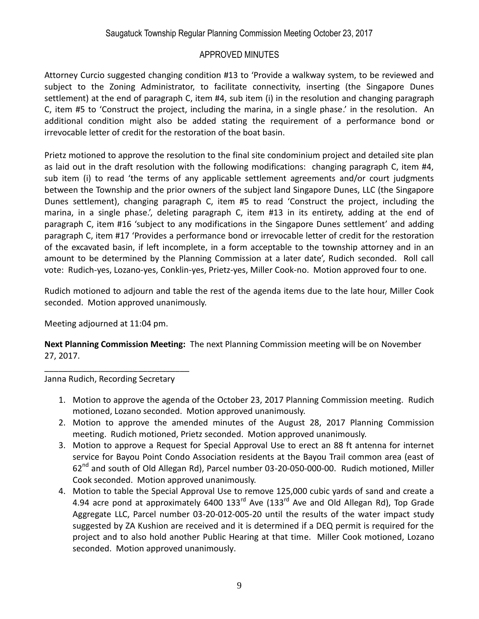### Saugatuck Township Regular Planning Commission Meeting October 23, 2017

#### APPROVED MINUTES

Attorney Curcio suggested changing condition #13 to 'Provide a walkway system, to be reviewed and subject to the Zoning Administrator, to facilitate connectivity, inserting (the Singapore Dunes settlement) at the end of paragraph C, item #4, sub item (i) in the resolution and changing paragraph C, item #5 to 'Construct the project, including the marina, in a single phase.' in the resolution. An additional condition might also be added stating the requirement of a performance bond or irrevocable letter of credit for the restoration of the boat basin.

Prietz motioned to approve the resolution to the final site condominium project and detailed site plan as laid out in the draft resolution with the following modifications: changing paragraph C, item #4, sub item (i) to read 'the terms of any applicable settlement agreements and/or court judgments between the Township and the prior owners of the subject land Singapore Dunes, LLC (the Singapore Dunes settlement), changing paragraph C, item #5 to read 'Construct the project, including the marina, in a single phase.', deleting paragraph C, item #13 in its entirety, adding at the end of paragraph C, item #16 'subject to any modifications in the Singapore Dunes settlement' and adding paragraph C, item #17 'Provides a performance bond or irrevocable letter of credit for the restoration of the excavated basin, if left incomplete, in a form acceptable to the township attorney and in an amount to be determined by the Planning Commission at a later date', Rudich seconded. Roll call vote: Rudich-yes, Lozano-yes, Conklin-yes, Prietz-yes, Miller Cook-no. Motion approved four to one.

Rudich motioned to adjourn and table the rest of the agenda items due to the late hour, Miller Cook seconded. Motion approved unanimously.

Meeting adjourned at 11:04 pm.

**Next Planning Commission Meeting:** The next Planning Commission meeting will be on November 27, 2017.

Janna Rudich, Recording Secretary

\_\_\_\_\_\_\_\_\_\_\_\_\_\_\_\_\_\_\_\_\_\_\_\_\_\_\_\_\_\_\_

- 1. Motion to approve the agenda of the October 23, 2017 Planning Commission meeting. Rudich motioned, Lozano seconded. Motion approved unanimously.
- 2. Motion to approve the amended minutes of the August 28, 2017 Planning Commission meeting. Rudich motioned, Prietz seconded. Motion approved unanimously.
- 3. Motion to approve a Request for Special Approval Use to erect an 88 ft antenna for internet service for Bayou Point Condo Association residents at the Bayou Trail common area (east of 62<sup>nd</sup> and south of Old Allegan Rd), Parcel number 03-20-050-000-00. Rudich motioned, Miller Cook seconded. Motion approved unanimously.
- 4. Motion to table the Special Approval Use to remove 125,000 cubic yards of sand and create a 4.94 acre pond at approximately 6400  $133^{rd}$  Ave (133 $^{rd}$  Ave and Old Allegan Rd), Top Grade Aggregate LLC, Parcel number 03-20-012-005-20 until the results of the water impact study suggested by ZA Kushion are received and it is determined if a DEQ permit is required for the project and to also hold another Public Hearing at that time. Miller Cook motioned, Lozano seconded. Motion approved unanimously.